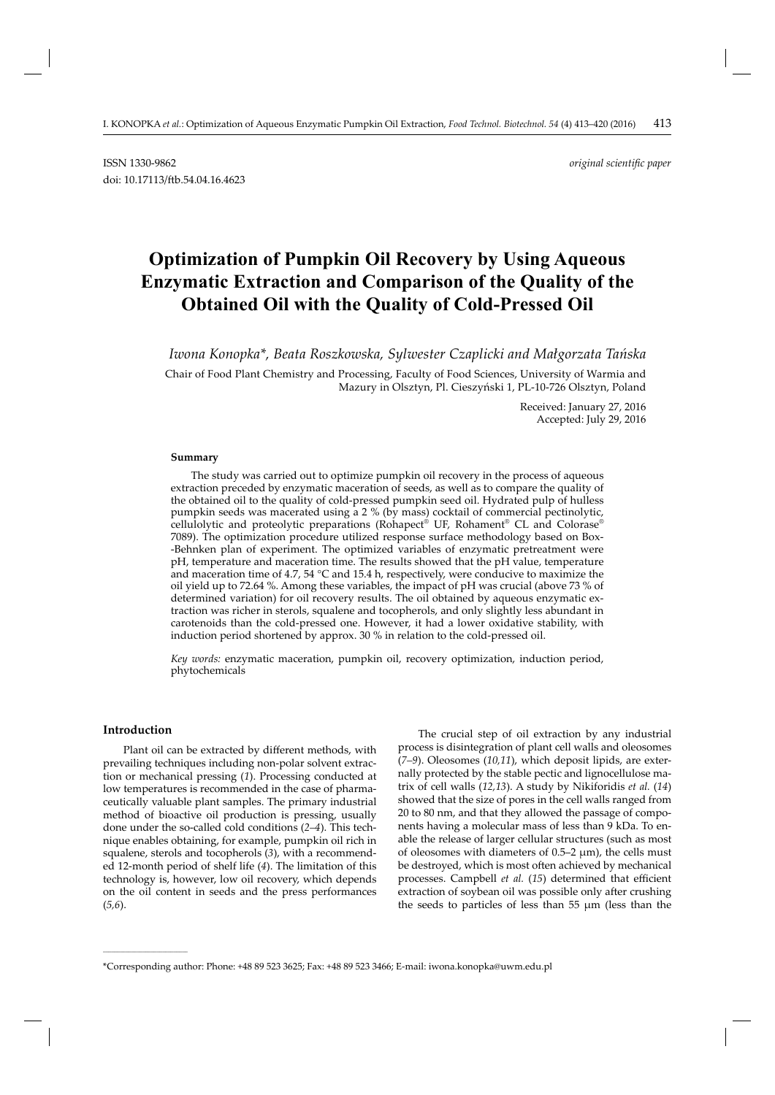# **Optimization of Pumpkin Oil Recovery by Using Aqueous Enzymatic Extraction and Comparison of the Quality of the Obtained Oil with the Quality of Cold-Pressed Oil**

*Iwona Konopka\*, Beata Roszkowska, Sylwester Czaplicki and Małgorzata Tańska*

Chair of Food Plant Chemistry and Processing, Faculty of Food Sciences, University of Warmia and Mazury in Olsztyn, Pl. Cieszyński 1, PL-10-726 Olsztyn, Poland

> Received: January 27, 2016 Accepted: July 29, 2016

#### **Summary**

The study was carried out to optimize pumpkin oil recovery in the process of aqueous extraction preceded by enzymatic maceration of seeds, as well as to compare the quality of the obtained oil to the quality of cold-pressed pumpkin seed oil. Hydrated pulp of hulless pumpkin seeds was macerated using a 2 % (by mass) cocktail of commercial pectinolytic, cellulolytic and proteolytic preparations (Rohapect® UF, Rohament® CL and Colorase® 7089). The optimization procedure utilized response surface methodology based on Box- -Behnken plan of experiment. The optimized variables of enzymatic pretreatment were pH, temperature and maceration time. The results showed that the pH value, temperature and maceration time of 4.7, 54 °C and 15.4 h, respectively, were conducive to maximize the oil yield up to 72.64 %. Among these variables, the impact of pH was crucial (above 73 % of determined variation) for oil recovery results. The oil obtained by aqueous enzymatic extraction was richer in sterols, squalene and tocopherols, and only slightly less abundant in carotenoids than the cold-pressed one. However, it had a lower oxidative stability, with induction period shortened by approx. 30 % in relation to the cold-pressed oil.

*Key words:* enzymatic maceration, pumpkin oil, recovery optimization, induction period, phytochemicals

## **Introduction**

**\_\_\_\_\_\_\_\_\_\_\_\_\_\_\_\_\_\_\_\_\_\_\_\_\_\_\_\_\_\_**

Plant oil can be extracted by different methods, with prevailing techniques including non-polar solvent extraction or mechanical pressing (*1*). Processing conducted at low temperatures is recommended in the case of pharmaceutically valuable plant samples. The primary industrial method of bioactive oil production is pressing, usually done under the so-called cold conditions (*2–4*). This technique enables obtaining, for example, pumpkin oil rich in squalene, sterols and tocopherols (*3*), with a recommended 12-month period of shelf life (*4*). The limitation of this technology is, however, low oil recovery, which depends on the oil content in seeds and the press performances (*5,6*).

The crucial step of oil extraction by any industrial process is disintegration of plant cell walls and oleosomes (*7–9*). Oleosomes (*10,11*), which deposit lipids, are externally protected by the stable pectic and lignocellulose matrix of cell walls (*12,13*). A study by Nikiforidis *et al.* (*14*) showed that the size of pores in the cell walls ranged from 20 to 80 nm, and that they allowed the passage of components having a molecular mass of less than 9 kDa. To enable the release of larger cellular structures (such as most of oleosomes with diameters of  $0.5-2 \mu m$ ), the cells must be destroyed, which is most often achieved by mechanical processes. Campbell *et al.* (15) determined that efficient extraction of soybean oil was possible only after crushing the seeds to particles of less than 55 μm (less than the

<sup>\*</sup>Corresponding author: Phone: +48 89 523 3625; Fax: +48 89 523 3466; E-mail: iwona.konopka@uwm.edu.pl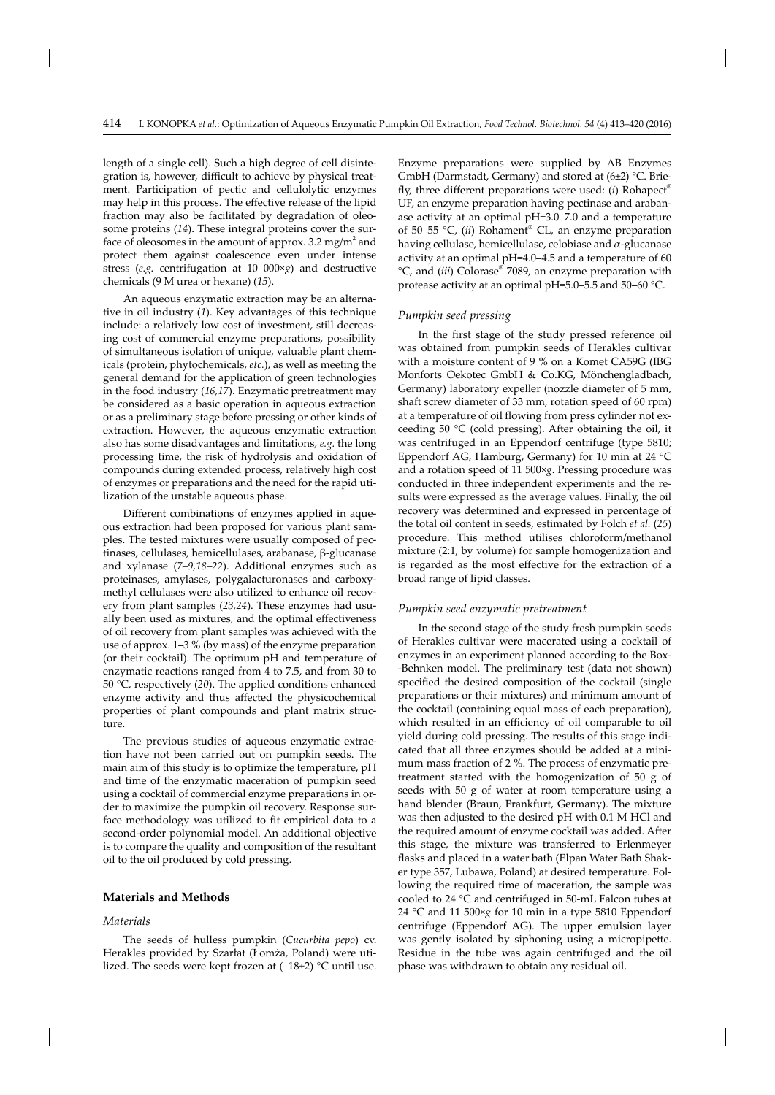length of a single cell). Such a high degree of cell disintegration is, however, difficult to achieve by physical treatment. Participation of pectic and cellulolytic enzymes may help in this process. The effective release of the lipid fraction may also be facilitated by degradation of oleosome proteins (*14*). These integral proteins cover the surface of oleosomes in the amount of approx. 3.2 mg/m<sup>2</sup> and protect them against coalescence even under intense stress (*e.g.* centrifugation at 10 000×*g*) and destructive chem icals (9 M urea or hexane) (*15*).

An aqueous enzymatic extraction may be an alternative in oil industry (*1*). Key advantages of this technique include: a relatively low cost of investment, still decreasing cost of commercial enzyme preparations, possibility of simultaneous isolation of unique, valuable plant chemicals (protein, phytochemicals, *etc.*), as well as meeting the general demand for the application of green technologies in the food industry (*16,17*). Enzymatic pretreatment may be considered as a basic operation in aqueous extraction or as a preliminary stage before pressing or other kinds of extraction. However, the aqueous enzymatic extraction also has some disadvantages and limitations, *e.g.* the long processing time, the risk of hydrolysis and oxidation of compounds during extended process, relatively high cost of enzymes or preparations and the need for the rapid utilization of the unstable aqueous phase.

Different combinations of enzymes applied in aqueous extraction had been proposed for various plant samples. The tested mixtures were usually composed of pectinases, cellulases, hemicellulases, arabanase, β-glucanase and xylanase (*7–9,18–22*). Additional enzymes such as proteinases, amylases, polygalacturonases and carboxymethyl cellulases were also utilized to enhance oil recovery from plant samples (*23,24*). These enzymes had usually been used as mixtures, and the optimal effectiveness of oil recovery from plant samples was achieved with the use of approx. 1–3 % (by mass) of the enzyme preparation (or their cocktail). The optimum pH and temperature of enzymatic reactions ranged from 4 to 7.5, and from 30 to 50 °C, respectively (*20*). The applied conditions enhanced enzyme activity and thus affected the physicochemical properties of plant compounds and plant matrix structure.

The previous studies of aqueous enzymatic extraction have not been carried out on pumpkin seeds. The main aim of this study is to optimize the temperature, pH and time of the enzymatic maceration of pumpkin seed using a cocktail of commercial enzyme preparations in order to maximize the pumpkin oil recovery. Response surface methodology was utilized to fit empirical data to a second-order polynomial model. An additional objective is to compare the quality and composition of the resultant oil to the oil produced by cold pressing.

#### **Materials and Methods**

#### *Materials*

The seeds of hulless pumpkin (*Cucurbita pepo*) cv. Herakles provided by Szarłat (Łomża, Poland) were utilized. The seeds were kept frozen at  $(-18\pm2)$  °C until use. Enzyme preparations were supplied by AB Enzymes GmbH (Darmstadt, Germany) and stored at (6±2) °C. Brie fly, three different preparations were used:  $(i)$  Rohapect<sup>®</sup> UF, an enzyme preparation having pectinase and arabanase activity at an optimal pH=3.0–7.0 and a temperature of 50–55 °C, (*ii*) Rohament® CL, an enzyme preparation having cellulase, hemicellulase, celobiase and α-glucanase activity at an optimal pH=4.0–4.5 and a temperature of 60 °C, and (*iii*) Colorase® 7089, an enzyme preparation with protease activity at an optimal pH=5.0–5.5 and 50–60 °C.

### *Pumpkin seed pressing*

In the first stage of the study pressed reference oil was obtained from pumpkin seeds of Herakles cultivar with a moisture content of 9 % on a Komet CA59G (IBG Monforts Oekotec GmbH & Co.KG, Mönchengladbach, Germany) laboratory expeller (nozzle diameter of 5 mm, shaft screw diameter of 33 mm, rotation speed of 60 rpm) at a temperature of oil flowing from press cylinder not exceeding 50  $\degree$ C (cold pressing). After obtaining the oil, it was centrifuged in an Eppendorf centrifuge (type 5810; Eppendorf AG, Hamburg, Germany) for 10 min at 24 °C and a rotation speed of 11 500×*g*. Pressing procedure was conducted in three independent experiments and the results were expressed as the average values. Finally, the oil recovery was determined and expressed in percentage of the total oil content in seeds, estimated by Folch *et al.* (*25*) procedure. This method utilises chloroform/methanol mixture (2:1, by volume) for sample homogenization and is regarded as the most effective for the extraction of a broad range of lipid classes.

## *Pumpkin seed enzymatic pretreatment*

In the second stage of the study fresh pumpkin seeds of Herakles cultivar were macerated using a cocktail of enzymes in an experiment planned according to the Box- -Behnken model. The preliminary test (data not shown) specified the desired composition of the cocktail (single preparations or their mixtures) and minimum amount of the cocktail (containing equal mass of each preparation), which resulted in an efficiency of oil comparable to oil yield during cold pressing. The results of this stage indicated that all three enzymes should be added at a minimum mass fraction of 2 %. The process of enzymatic pretreatment started with the homogenization of 50 g of seeds with 50 g of water at room temperature using a hand blender (Braun, Frankfurt, Germany). The mixture was then adjusted to the desired pH with 0.1 M HCl and the required amount of enzyme cocktail was added. After this stage, the mixture was transferred to Erlenmeyer flasks and placed in a water bath (Elpan Water Bath Shaker type 357, Lubawa, Poland) at desired temperature. Following the required time of maceration, the sample was cooled to 24 °C and centrifuged in 50-mL Falcon tubes at 24 °C and 11 500×*g* for 10 min in a type 5810 Eppendorf centrifuge (Eppendorf AG). The upper emulsion layer was gently isolated by siphoning using a micropipette. Residue in the tube was again centrifuged and the oil phase was withdrawn to obtain any residual oil.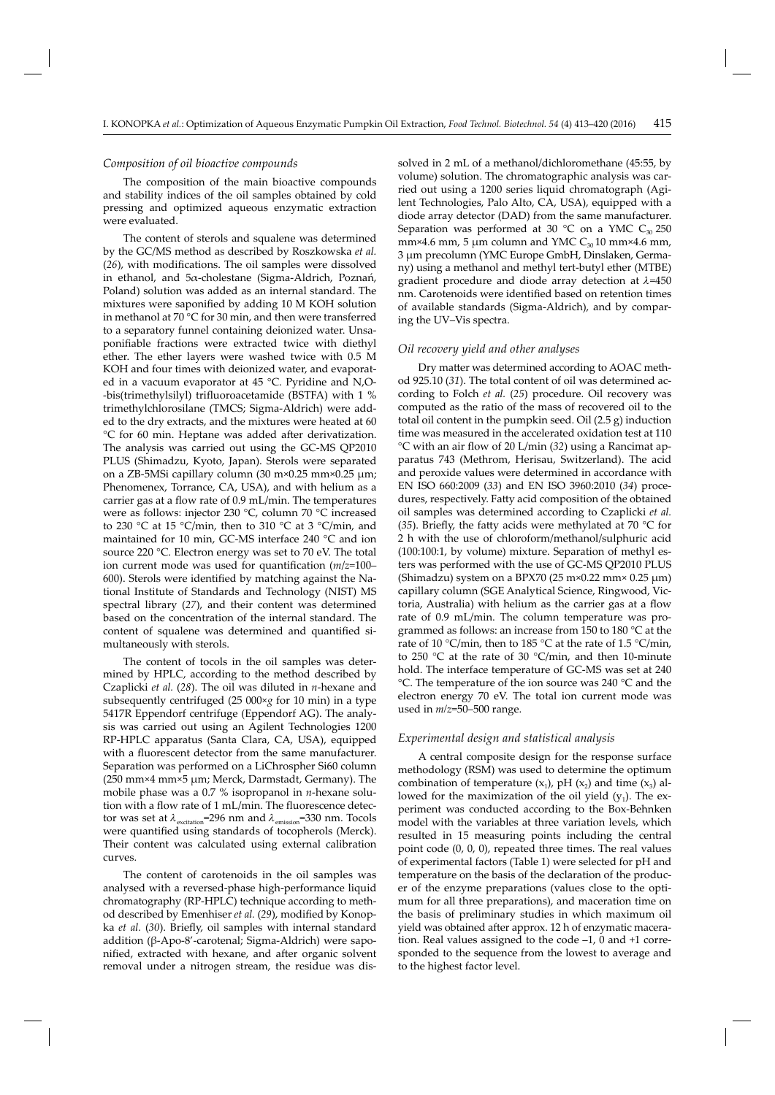#### *Composition of oil bioactive compounds*

The composition of the main bioactive compounds and stability indices of the oil samples obtained by cold pressing and optimized aqueous enzymatic extraction were evaluated.

The content of sterols and squalene was determined by the GC/MS method as described by Roszkowska *et al.* (26), with modifications. The oil samples were dissolved in ethanol, and 5α-cholestane (Sigma-Aldrich, Poznań, Poland) solution was added as an internal standard. The mixtures were saponified by adding 10 M KOH solution in methanol at 70 °C for 30 min, and then were transferred to a separatory funnel containing deionized water. Unsaponifiable fractions were extracted twice with diethyl ether. The ether layers were washed twice with 0.5 M KOH and four times with deionized water, and evaporated in a vacuum evaporator at 45 °C. Pyridine and N,O- -bis(trimethylsilyl) trifluoroacetamide (BSTFA) with 1 % trimethylchlorosilane (TMCS; Sigma-Aldrich) were added to the dry extracts, and the mixtures were heated at 60 °C for 60 min. Heptane was added after derivatization. The analysis was carried out using the GC-MS QP2010 PLUS (Shimadzu, Kyoto, Japan). Sterols were separated on a ZB-5MSi capillary column (30 m×0.25 mm×0.25 μm; Phenomenex, Torrance, CA, USA), and with helium as a carrier gas at a flow rate of 0.9 mL/min. The temperatures were as follows: injector 230 °C, column 70 °C increased to 230 °C at 15 °C/min, then to 310 °C at 3 °C/min, and maintained for 10 min, GC-MS interface 240 °C and ion source 220 °C. Electron energy was set to 70 eV. The total ion current mode was used for quantification ( $m/z=100-$ 600). Sterols were identified by matching against the National Institute of Standards and Technology (NIST) MS spectral library (*27*), and their content was determined based on the concentration of the internal standard. The content of squalene was determined and quantified simultaneously with sterols.

The content of tocols in the oil samples was determined by HPLC, according to the method described by Czaplicki *et al.* (*28*). The oil was diluted in *n*-hexane and subsequently centrifuged (25 000×*g* for 10 min) in a type 5417R Eppendorf centrifuge (Eppendorf AG). The analysis was carried out using an Agilent Technologies 1200 RP-HPLC apparatus (Santa Clara, CA, USA), equipped with a fluorescent detector from the same manufacturer. Separation was performed on a LiChrospher Si60 column (250 mm×4 mm×5 μm; Merck, Darmstadt, Germany). The mobile phase was a 0.7 % isopropanol in *n*-hexane solution with a flow rate of 1 mL/min. The fluorescence detector was set at  $\lambda_{\text{excitation}}$ =296 nm and  $\lambda_{\text{emission}}$ =330 nm. Tocols were quantified using standards of tocopherols (Merck). Their content was calculated using external calibration curves.

The content of carotenoids in the oil samples was analysed with a reversed-phase high-performance liquid chromatography (RP-HPLC) technique according to method described by Emenhiser et al. (29), modified by Konopka *et al.* (30). Briefly, oil samples with internal standard addition (β-Apo-8'-carotenal; Sigma-Aldrich) were saponified, extracted with hexane, and after organic solvent removal under a nitrogen stream, the residue was dissolved in 2 mL of a methanol/dichloromethane (45:55, by volume) solution. The chromatographic analysis was carried out using a 1200 series liquid chromatograph (Agilent Technologies, Palo Alto, CA, USA), equipped with a diode array detector (DAD) from the same manufacturer. Separation was performed at 30  $^{\circ}$ C on a YMC C<sub>30</sub> 250 mm×4.6 mm, 5  $\mu$ m column and YMC C<sub>30</sub> 10 mm×4.6 mm, 3 μm precolumn (YMC Europe GmbH, Dinslaken, Germany) using a methanol and methyl tert-butyl ether (MTBE) gradient procedure and diode array detection at *l*=450 nm. Carotenoids were identified based on retention times of available standards (Sigma-Aldrich), and by comparing the UV–Vis spectra.

#### *Oil recovery yield and other analyses*

Dry matter was determined according to AOAC method 925.10 (*31*). The total content of oil was determined according to Folch *et al.* (*25*) procedure. Oil recovery was computed as the ratio of the mass of recovered oil to the total oil content in the pumpkin seed. Oil (2.5 g) induction time was measured in the accelerated oxidation test at 110 °C with an air flow of 20 L/min (32) using a Rancimat apparatus 743 (Methrom, Herisau, Switzerland). The acid and peroxide values were determined in accordance with EN ISO 660:2009 (*33*) and EN ISO 3960:2010 (*34*) procedures, respectively. Fatty acid composition of the obtained oil samples was determined according to Czaplicki *et al.* (35). Briefly, the fatty acids were methylated at 70  $\rm{°C}$  for 2 h with the use of chloroform/methanol/sulphuric acid (100:100:1, by volume) mixture. Separation of methyl esters was performed with the use of GC-MS QP2010 PLUS (Shimadzu) system on a BPX70 (25 m $\times$ 0.22 mm $\times$ 0.25 µm) capillary column (SGE Analytical Science, Ringwood, Victoria, Australia) with helium as the carrier gas at a flow rate of 0.9 mL/min. The column temperature was programmed as follows: an increase from 150 to 180 °C at the rate of 10 °C/min, then to 185 °C at the rate of 1.5 °C/min, to 250 °C at the rate of 30 °C/min, and then 10-minute hold. The interface temperature of GC-MS was set at 240 °C. The temperature of the ion source was 240 °C and the electron energy 70 eV. The total ion current mode was used in *m/z*=50–500 range.

#### *Experimental design and statistical analysis*

A central composite design for the response surface methodology (RSM) was used to determine the optimum combination of temperature  $(x_1)$ , pH  $(x_2)$  and time  $(x_3)$  allowed for the maximization of the oil yield  $(y_1)$ . The experiment was conducted according to the Box-Behnken model with the variables at three variation levels, which resulted in 15 measuring points including the central point code (0, 0, 0), repeated three times. The real values of experimental factors (Table 1) were selected for pH and temperature on the basis of the declaration of the producer of the enzyme preparations (values close to the optimum for all three preparations), and maceration time on the basis of preliminary studies in which maximum oil yield was obtained after approx. 12 h of enzymatic maceration. Real values assigned to the code –1, 0 and +1 corresponded to the sequence from the lowest to average and to the highest factor level.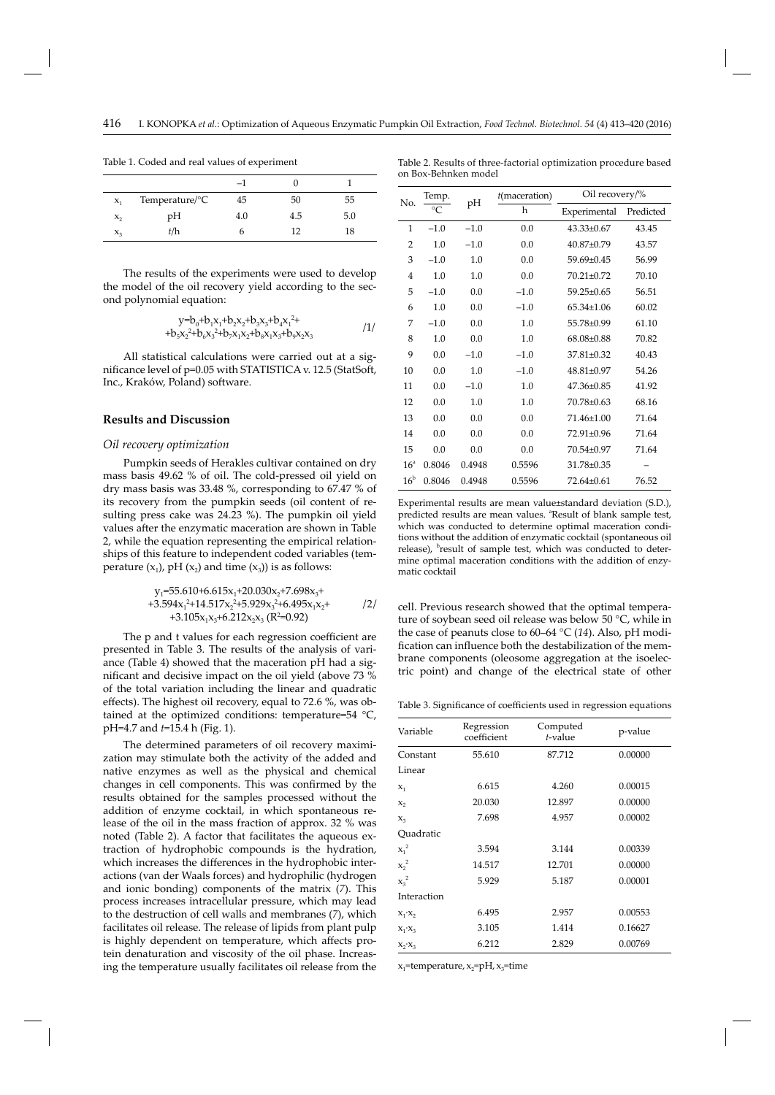on Box-Behnken model

|         |                              | $-1$ |     |     |
|---------|------------------------------|------|-----|-----|
| $X_1$   | Temperature/ $\rm ^{\circ}C$ | 45   | 50  | 55  |
| $x_{2}$ | pН                           | 4.0  | 4.5 | 5.0 |
| $X_3$   | t/h                          | n    |     | 18  |

Table 1. Coded and real values of experiment

The results of the experiments were used to develop the model of the oil recovery yield according to the second polynomial equation:

$$
y=b_0+b_1x_1+b_2x_2+b_3x_3+b_4x_1^2+\n+b_5x_2^2+b_6x_3^2+b_7x_1x_2+b_8x_1x_3+b_9x_2x_3
$$
\n
$$
\tag{1}
$$

All statistical calculations were carried out at a significance level of  $p=0.05$  with STATISTICA v. 12.5 (StatSoft, Inc., Kraków, Poland) software.

# **Results and Discussion**

#### *Oil recovery optimization*

Pumpkin seeds of Herakles cultivar contained on dry mass basis 49.62 % of oil. The cold-pressed oil yield on dry mass basis was 33.48 %, corresponding to 67.47 % of its recovery from the pumpkin seeds (oil content of resulting press cake was 24.23 %). The pumpkin oil yield values after the enzymatic maceration are shown in Table 2, while the equation representing the empirical relationships of this feature to independent coded variables (temperature  $(x_1)$ , pH  $(x_2)$  and time  $(x_3)$ ) is as follows:

$$
y_1 = 55.610 + 6.615x_1 + 20.030x_2 + 7.698x_3 +
$$
  
+3.594x<sub>1</sub><sup>2</sup>+14.517x<sub>2</sub><sup>2</sup>+5.929x<sub>3</sub><sup>2</sup>+6.495x<sub>1</sub>x<sub>2</sub>+  
+3.105x<sub>1</sub>x<sub>3</sub>+6.212x<sub>2</sub>x<sub>3</sub> (R<sup>2</sup>=0.92)

The p and t values for each regression coefficient are presented in Table 3. The results of the analysis of variance (Table 4) showed that the maceration pH had a significant and decisive impact on the oil yield (above 73 % of the total variation including the linear and quadratic effects). The highest oil recovery, equal to 72.6 %, was obtained at the optimized conditions: temperature=54 °C, pH=4.7 and *t*=15.4 h (Fig. 1).

The determined parameters of oil recovery maximization may stimulate both the activity of the added and native enzymes as well as the physical and chemical changes in cell components. This was confirmed by the results obtained for the samples processed without the addition of enzyme cocktail, in which spontaneous release of the oil in the mass fraction of approx. 32 % was noted (Table 2). A factor that facilitates the aqueous extraction of hydrophobic compounds is the hydration, which increases the differences in the hydrophobic interactions (van der Waals forces) and hydrophilic (hydrogen and ionic bonding) components of the matrix (*7*). This process increases intracellular pressure, which may lead to the destruction of cell walls and membranes (*7*), which facilitates oil release. The release of lipids from plant pulp is highly dependent on temperature, which affects protein denaturation and viscosity of the oil phase. Increasing the temperature usually facilitates oil release from the

| No.             | Temp.       | pH     | $t$ (maceration) | Oil recovery/%   |           |
|-----------------|-------------|--------|------------------|------------------|-----------|
|                 | $^{\circ}C$ |        | h                | Experimental     | Predicted |
| $\mathbf{1}$    | $-1.0$      | $-1.0$ | 0.0              | $43.33 \pm 0.67$ | 43.45     |
| $\overline{2}$  | 1.0         | $-1.0$ | 0.0              | $40.87 \pm 0.79$ | 43.57     |
| 3               | $-1.0$      | 1.0    | 0.0              | $59.69 \pm 0.45$ | 56.99     |
| $\overline{4}$  | 1.0         | 1.0    | 0.0              | $70.21 \pm 0.72$ | 70.10     |
| 5               | $-1.0$      | 0.0    | $-1.0$           | $59.25 \pm 0.65$ | 56.51     |
| 6               | 1.0         | 0.0    | $-1.0$           | $65.34 \pm 1.06$ | 60.02     |
| 7               | $-1.0$      | 0.0    | 1.0              | 55.78±0.99       | 61.10     |
| 8               | 1.0         | 0.0    | 1.0              | $68.08 \pm 0.88$ | 70.82     |
| 9               | 0.0         | $-1.0$ | $-1.0$           | $37.81 \pm 0.32$ | 40.43     |
| 10              | 0.0         | 1.0    | $-1.0$           | $48.81 \pm 0.97$ | 54.26     |
| 11              | 0.0         | $-1.0$ | 1.0              | $47.36 \pm 0.85$ | 41.92     |
| 12              | 0.0         | 1.0    | 1.0              | 70.78±0.63       | 68.16     |
| 13              | 0.0         | 0.0    | 0.0              | 71.46±1.00       | 71.64     |
| 14              | 0.0         | 0.0    | 0.0              | 72.91±0.96       | 71.64     |
| 15              | 0.0         | 0.0    | 0.0              | 70.54±0.97       | 71.64     |
| 16 <sup>a</sup> | 0.8046      | 0.4948 | 0.5596           | 31.78±0.35       |           |
| 16 <sup>b</sup> | 0.8046      | 0.4948 | 0.5596           | 72.64±0.61       | 76.52     |

Table 2. Results of three-factorial optimization procedure based

Experimental results are mean value±standard deviation (S.D.), predicted results are mean values. <sup>a</sup>Result of blank sample test, which was conducted to determine optimal maceration conditions without the addition of enzymatic cocktail (spontaneous oil release), <sup>b</sup>result of sample test, which was conducted to determine optimal maceration conditions with the addition of enzymatic cocktail

cell. Previous research showed that the optimal temperature of soybean seed oil release was below 50 °C, while in the case of peanuts close to 60–64 °C (*14*). Also, pH modification can influence both the destabilization of the membrane components (oleosome aggregation at the isoelectric point) and change of the electrical state of other

Table 3. Significance of coefficients used in regression equations

| Variable        | Regression<br>coefficient | Computed<br>t-value | p-value |
|-----------------|---------------------------|---------------------|---------|
| Constant        | 55.610                    | 87.712              | 0.00000 |
| Linear          |                           |                     |         |
| $X_1$           | 6.615                     | 4.260               | 0.00015 |
| $x_{2}$         | 20.030                    | 12.897              | 0.00000 |
| $X_3$           | 7.698                     | 4.957               | 0.00002 |
| Ouadratic       |                           |                     |         |
| $x_1^2$         | 3.594                     | 3.144               | 0.00339 |
| $x_2^2$         | 14.517                    | 12.701              | 0.00000 |
| $x_3^2$         | 5.929                     | 5.187               | 0.00001 |
| Interaction     |                           |                     |         |
| $X_1 \cdot X_2$ | 6.495                     | 2.957               | 0.00553 |
| $X_1 \cdot X_3$ | 3.105                     | 1.414               | 0.16627 |
| $X_2 \cdot X_3$ | 6.212                     | 2.829               | 0.00769 |

 $x_1$ =temperature,  $x_2$ =pH,  $x_3$ =time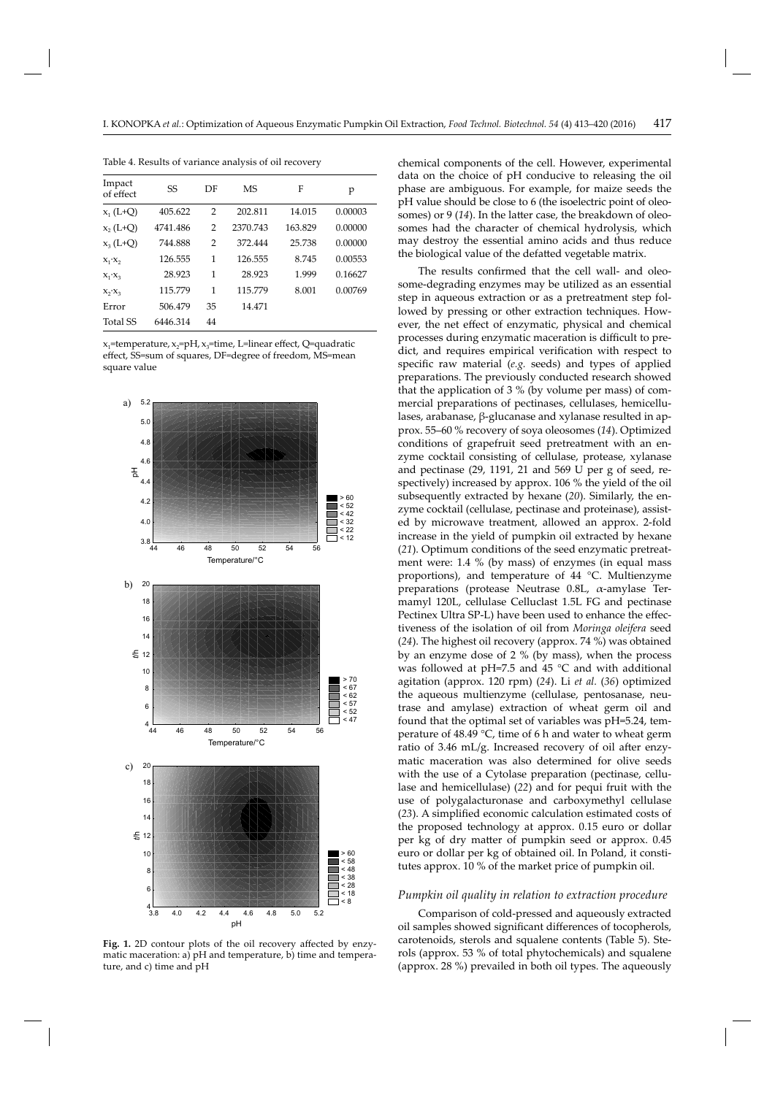| Impact<br>of effect | SS       | DF             | <b>MS</b> | F       | p       |
|---------------------|----------|----------------|-----------|---------|---------|
| $x_1(L+Q)$          | 405.622  | $\overline{2}$ | 202.811   | 14.015  | 0.00003 |
| $x_2(L+Q)$          | 4741.486 | 2              | 2370.743  | 163.829 | 0.00000 |
| $x_2(L+Q)$          | 744.888  | $\overline{2}$ | 372.444   | 25.738  | 0.00000 |
| $X_1 \cdot X_2$     | 126.555  | 1              | 126.555   | 8745    | 0.00553 |
| $X_1 \cdot X_2$     | 28.923   | 1              | 28.923    | 1.999   | 0.16627 |
| $X_2 \cdot X_3$     | 115.779  | 1              | 115.779   | 8.001   | 0.00769 |
| Error               | 506.479  | 35             | 14.471    |         |         |
| <b>Total SS</b>     | 6446.314 | 44             |           |         |         |

Table 4. Results of variance analysis of oil recovery

 $x_1$ =temperature,  $x_2$ =pH,  $x_3$ =time, L=linear effect, Q=quadratic effect, SS=sum of squares, DF=degree of freedom, MS=mean square value



Fig. 1. 2D contour plots of the oil recovery affected by enzymatic maceration: a) pH and temperature, b) time and temperature, and c) time and pH

chemical components of the cell. However, experimental data on the choice of pH conducive to releasing the oil phase are ambiguous. For example, for maize seeds the pH value should be close to 6 (the isoelectric point of oleosomes) or 9 (14). In the latter case, the breakdown of oleosomes had the character of chemical hydrolysis, which may destroy the essential amino acids and thus reduce the biological value of the defatted vegetable matrix.

The results confirmed that the cell wall- and oleosome-degrading enzymes may be utilized as an essential step in aqueous extraction or as a pretreatment step followed by pressing or other extraction techniques. However, the net effect of enzymatic, physical and chemical processes during enzymatic maceration is difficult to predict, and requires empirical verification with respect to specific raw material (*e.g.* seeds) and types of applied preparations. The previously conducted research showed that the application of 3 % (by volume per mass) of commercial preparations of pectinases, cellulases, hemicellulases, arabanase, β-glucanase and xylanase resulted in approx. 55–60 % recovery of soya oleosomes (*14*). Optimized conditions of grapefruit seed pretreatment with an enzyme cocktail consisting of cellulase, protease, xylanase and pectinase (29, 1191, 21 and 569 U per g of seed, respectively) increased by approx. 106 % the yield of the oil subsequently extracted by hexane (*20*). Similarly, the enzyme cocktail (cellulase, pectinase and proteinase), assisted by microwave treatment, allowed an approx. 2-fold increase in the yield of pumpkin oil extracted by hexane (*21*). Optimum conditions of the seed enzymatic pretreatment were: 1.4 % (by mass) of enzymes (in equal mass proportions), and temperature of 44 °C. Multienzyme preparations (protease Neutrase 0.8L, α-amylase Termamyl 120L, cellulase Celluclast 1.5L FG and pectinase Pectinex Ultra SP-L) have been used to enhance the effectiveness of the isolation of oil from *Moringa oleifera* seed (*24*). The highest oil recovery (approx. 74 %) was obtained by an enzyme dose of 2 % (by mass), when the process was followed at pH=7.5 and 45 °C and with additional agitation (approx. 120 rpm) (*24*). Li *et al.* (*36*) optimized the aqueous multienzyme (cellulase, pentosanase, neutrase and amylase) extraction of wheat germ oil and found that the optimal set of variables was pH=5.24, temperature of 48.49 °C, time of 6 h and water to wheat germ ratio of 3.46 mL/g. Increased recovery of oil after enzymatic maceration was also determined for olive seeds with the use of a Cytolase preparation (pectinase, cellulase and hemicellulase) (*22*) and for pequi fruit with the use of polygalacturonase and carboxymethyl cellulase (23). A simplified economic calculation estimated costs of the proposed technology at approx. 0.15 euro or dollar per kg of dry matter of pumpkin seed or approx. 0.45 euro or dollar per kg of obtained oil. In Poland, it constitutes approx. 10 % of the market price of pumpkin oil.

#### *Pumpkin oil quality in relation to extraction procedure*

Comparison of cold-pressed and aqueously extracted oil samples showed significant differences of tocopherols, carotenoids, sterols and squalene contents (Table 5). Sterols (approx. 53 % of total phytochemicals) and squalene (approx. 28 %) prevailed in both oil types. The aqueously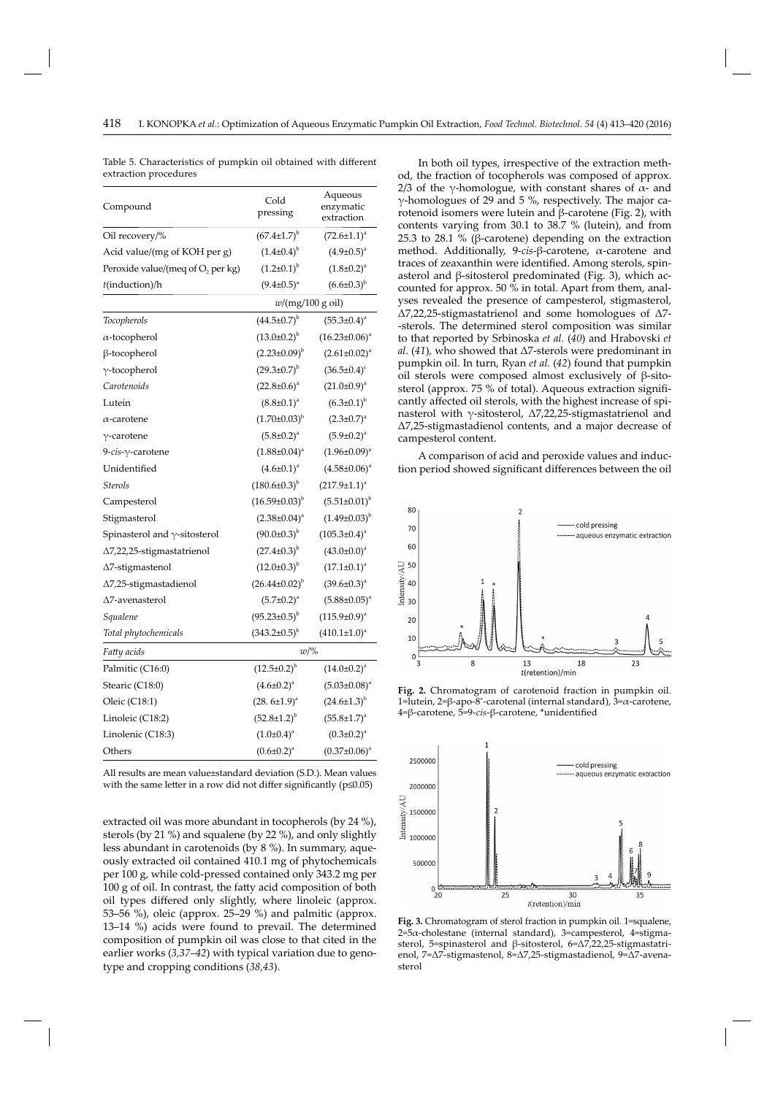| Compound                             | Cold<br>pressing           | Aqueous<br>enzymatic<br>extraction |  |
|--------------------------------------|----------------------------|------------------------------------|--|
| Oil recovery/%                       | $(67.4 \pm 1.7)^{b}$       | $(72.6 \pm 1.1)^a$                 |  |
| Acid value/(mg of KOH per g)         | $(1.4\pm0.4)^{b}$          | $(4.9 \pm 0.5)^{a}$                |  |
| Peroxide value/(meq of $O_2$ per kg) | $(1.2 \pm 0.1)^{b}$        | $(1.8 \pm 0.2)^a$                  |  |
| t(induction)/h                       | $(9.4 \pm 0.5)^{a}$        | $(6.6 \pm 0.3)^{b}$                |  |
|                                      | $w/(mg/100 g \text{ oil})$ |                                    |  |
| Tocopherols                          | $(44.5 \pm 0.7)^{b}$       | $(55.3 \pm 0.4)^a$                 |  |
| $\alpha$ -tocopherol                 | $(13.0 \pm 0.2)^{b}$       | $(16.23 \pm 0.06)^a$               |  |
| β-tocopherol                         | $(2.23 \pm 0.09)^{b}$      | $(2.61 \pm 0.02)^a$                |  |
| $\gamma$ -tocopherol                 | $(29.3 \pm 0.7)^{b}$       | $(36.5 \pm 0.4)^c$                 |  |
| Carotenoids                          | $(22.8 \pm 0.6)^a$         | $(21.0 \pm 0.9)^a$                 |  |
| Lutein                               | $(8.8 \pm 0.1)^a$          | $(6.3 \pm 0.1)^{b}$                |  |
| $\alpha$ -carotene                   | $(1.70\pm0.03)^{b}$        | $(2.3 \pm 0.7)^{a}$                |  |
| $\gamma$ -carotene                   | $(5.8 \pm 0.2)^a$          | $(5.9 \pm 0.2)^a$                  |  |
| 9-cis-γ-carotene                     | $(1.88 \pm 0.04)^a$        | $(1.96\pm0.09)^{a}$                |  |
| Unidentified                         | $(4.6 \pm 0.1)^a$          | $(4.58 \pm 0.06)^a$                |  |
| <b>Sterols</b>                       | $(180.6\pm0.3)^{b}$        | $(217.9 \pm 1.1)^{a}$              |  |
| Campesterol                          | $(16.59 \pm 0.03)^{b}$     | $(5.51 \pm 0.01)^{b}$              |  |
| Stigmasterol                         | $(2.38 \pm 0.04)^a$        | $(1.49\pm0.03)^{b}$                |  |
| Spinasterol and $\gamma$ -sitosterol | $(90.0 \pm 0.3)^{b}$       | $(105.3 \pm 0.4)^a$                |  |
| ∆7,22,25-stigmastatrienol            | $(27.4 \pm 0.3)^{b}$       | $(43.0 \pm 0.0)^a$                 |  |
| ∆7-stigmastenol                      | $(12.0 \pm 0.3)^{b}$       | $(17.1 \pm 0.1)^a$                 |  |
| ∆7,25-stigmastadienol                | $(26.44\pm0.02)^{b}$       | $(39.6 \pm 0.3)^a$                 |  |
| ∆7-avenasterol                       | $(5.7 \pm 0.2)^a$          | $(5.88 \pm 0.05)^{a}$              |  |
| Squalene                             | $(95.23 \pm 0.5)^{b}$      | $(115.9 \pm 0.9)^a$                |  |
| Total phytochemicals                 | $(343.2 \pm 0.5)^{b}$      | $(410.1 \pm 1.0)^{a}$              |  |
| Fatty acids                          | $w$ /%                     |                                    |  |
| Palmitic (C16:0)                     | $(12.5 \pm 0.2)^{b}$       | $(14.0 \pm 0.2)^a$                 |  |
| Stearic (C18:0)                      | $(4.6 \pm 0.2)^a$          | $(5.03 \pm 0.08)^a$                |  |
| Oleic (C18:1)                        | $(28.6 \pm 1.9)^{a}$       | $(24.6 \pm 1.3)^{b}$               |  |
| Linoleic (C18:2)                     | $(52.8{\pm}1.2)^{b}$       | $(55.8 \pm 1.7)^{a}$               |  |
| Linolenic (C18:3)                    | $(1.0 \pm 0.4)^a$          | $(0.3 \pm 0.2)^a$                  |  |
| Others                               | $(0.6 \pm 0.2)^a$          | $(0.37 \pm 0.06)^a$                |  |

Table 5. Characteristics of pumpkin oil obtained with different extraction procedures

All results are mean value±standard deviation (S.D.). Mean values with the same letter in a row did not differ significantly ( $p \le 0.05$ )

extracted oil was more abundant in tocopherols (by 24 %), sterols (by 21 %) and squalene (by 22 %), and only slightly less abundant in carotenoids (by 8 %). In summary, aqueously extracted oil contained 410.1 mg of phytochemicals per 100 g, while cold-pressed contained only 343.2 mg per  $100$  g of oil. In contrast, the fatty acid composition of both oil types differed only slightly, where linoleic (approx. 53–56 %), oleic (approx. 25–29 %) and palmitic (approx. 13–14 %) acids were found to prevail. The determined composition of pumpkin oil was close to that cited in the earlier works (*3,37–42*) with typical variation due to genotype and cropping conditions (*38,43*).

In both oil types, irrespective of the extraction method, the fraction of tocopherols was composed of approx. 2/3 of the γ-homologue, with constant shares of  $\alpha$ - and γ-homologues of 29 and 5 %, respectively. The major carotenoid isomers were lutein and β-carotene (Fig. 2), with contents varying from 30.1 to 38.7 % (lutein), and from 25.3 to 28.1 % (β-carotene) depending on the extraction method. Additionally, 9-*cis*-β-carotene, α-carotene and traces of zeaxanthin were identified. Among sterols, spinasterol and β-sitosterol predominated (Fig. 3), which accounted for approx. 50 % in total. Apart from them, analyses revealed the presence of campesterol, stigmasterol, Δ7,22,25-stigmastatrienol and some homologues of Δ7- -sterols. The determined sterol composition was similar to that reported by Srbinoska *et al.* (*40*) and Hrabovski *et al.* (*41*), who showed that Δ7-sterols were predominant in pumpkin oil. In turn, Ryan *et al.* (*42*) found that pumpkin oil sterols were composed almost exclusively of β-sitosterol (approx. 75 % of total). Aqueous extraction significantly affected oil sterols, with the highest increase of spinasterol with γ-sitosterol, Δ7,22,25-stigmastatrienol and Δ7,25-stigmastadienol contents, and a major decrease of campesterol content.

A comparison of acid and peroxide values and induction period showed significant differences between the oil



**Fig. 2.** Chromatogram of carotenoid fraction in pumpkin oil. 1=lutein, 2=β-apo-8'-carotenal (internal standard), 3=α-carotene, 4=β-carotene, 5=9-cis-β-carotene, \*unidentified



**Fig. 3.** Chromatogram of sterol fraction in pumpkin oil. 1=squalene, 2=5α-cholestane (internal standard), 3=campesterol, 4=stigmasterol, 5=spinasterol and β-sitosterol, 6=Δ7,22,25-stigmastatrienol, 7=Δ7-stigmastenol, 8=Δ7,25-stigmastadienol, 9=Δ7-avenasterol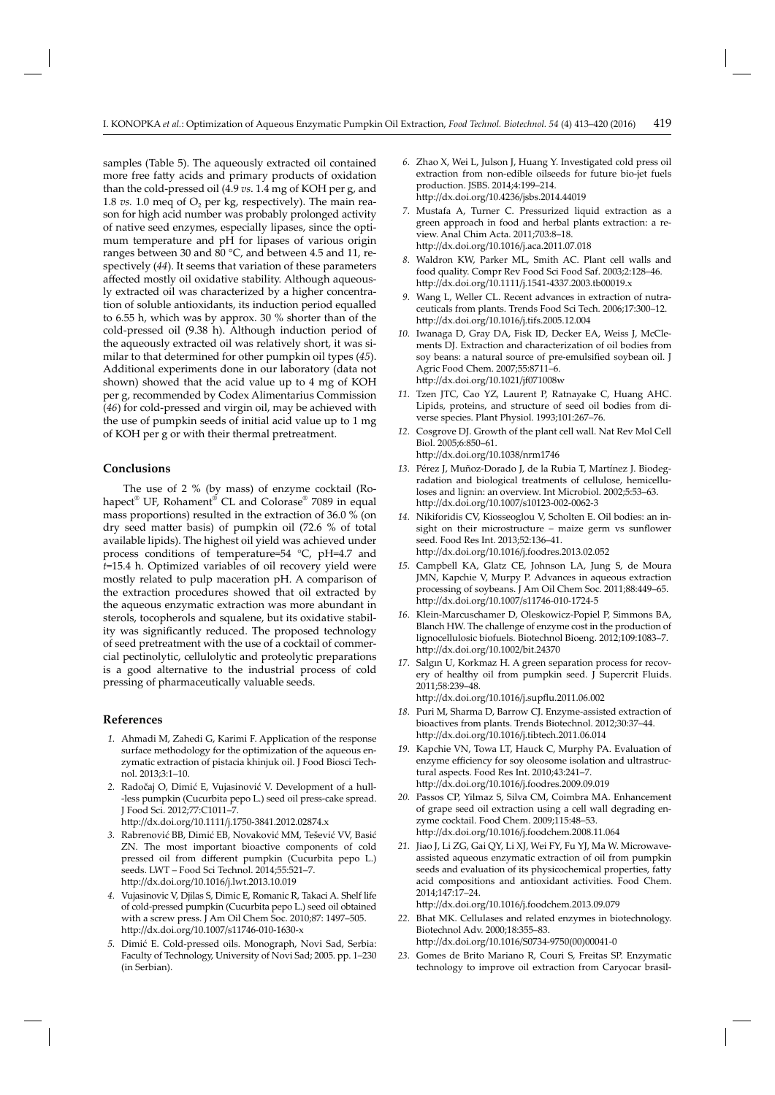samples (Table 5). The aqueously extracted oil contained more free fatty acids and primary products of oxidation than the cold-pressed oil (4.9 *vs*. 1.4 mg of KOH per g, and 1.8  $vs.$  1.0 meq of  $O<sub>2</sub>$  per kg, respectively). The main reason for high acid number was probably prolonged activity of native seed enzymes, especially lipases, since the optimum temperature and pH for lipases of various origin ranges between 30 and 80 °C, and between 4.5 and 11, respectively (*44*). It seems that variation of these parameters affected mostly oil oxidative stability. Although aqueously extracted oil was characterized by a higher concentration of soluble antioxidants, its induction period equalled to 6.55 h, which was by approx. 30 % shorter than of the cold-pressed oil (9.38 h). Although induction period of the aqueously extracted oil was relatively short, it was similar to that determined for other pumpkin oil types (*45*). Additional experiments done in our laboratory (data not shown) showed that the acid value up to 4 mg of KOH per g, recommended by Codex Alimentarius Commission (*46*) for cold-pressed and virgin oil, may be achieved with the use of pumpkin seeds of initial acid value up to 1 mg of KOH per g or with their thermal pretreatment.

# **Conclusions**

The use of 2 % (by mass) of enzyme cocktail (Rohapect® UF, Rohament® CL and Colorase® 7089 in equal mass proportions) resulted in the extraction of 36.0 % (on dry seed matter basis) of pumpkin oil (72.6 % of total available lipids). The highest oil yield was achieved under process conditions of temperature=54 °C, pH=4.7 and *t*=15.4 h. Optimized variables of oil recovery yield were mostly related to pulp maceration pH. A comparison of the extraction procedures showed that oil extracted by the aqueous enzymatic extraction was more abundant in sterols, tocopherols and squalene, but its oxidative stability was significantly reduced. The proposed technology of seed pretreatment with the use of a cocktail of commercial pectinolytic, cellulolytic and proteolytic preparations is a good alternative to the industrial process of cold pressing of pharmaceutically valuable seeds.

#### **References**

- *1.* Ahmadi M, Zahedi G, Karimi F. Application of the response surface methodology for the optimization of the aqueous enzymatic extraction of pistacia khinjuk oil. J Food Biosci Technol. 2013;3:1–10.
- *2.* Radočaj O, Dimić E, Vujasinović V. Development of a hull- -less pumpkin (Cucurbita pepo L.) seed oil press-cake spread. J Food Sci. 2012;77:C1011–7. http://dx.doi.org/10.1111/j.1750-3841.2012.02874.x
- *3.* Rabrenović BB, Dimić EB, Novaković MM, Tešević VV, Basić ZN. The most important bioactive components of cold pressed oil from different pumpkin (Cucurbita pepo L.) seeds. LWT – Food Sci Technol. 2014;55:521–7. http://dx.doi.org/10.1016/j.lwt.2013.10.019
- *4.* Vujasinovic V, Djilas S, Dimic E, Romanic R, Takaci A. Shelf life of cold-pressed pumpkin (Cucurbita pepo L.) seed oil obtained with a screw press. J Am Oil Chem Soc. 2010;87: 1497–505. http://dx.doi.org/10.1007/s11746-010-1630-x
- *5.* Dimić E. Cold-pressed oils. Monograph, Novi Sad, Serbia: Faculty of Technology, University of Novi Sad; 2005. pp. 1–230 (in Serbian).
- *6.* Zhao X, Wei L, Julson J, Huang Y. Investigated cold press oil extraction from non-edible oilseeds for future bio-jet fuels production. JSBS. 2014;4:199–214. http://dx.doi.org/10.4236/jsbs.2014.44019
- *7.* Mustafa A, Turner C. Pressurized liquid extraction as a green approach in food and herbal plants extraction: a review. Anal Chim Acta. 2011;703:8–18. htt p://dx.doi.org/10.1016/j.aca.2011.07.018
- *8.* Waldron KW, Parker ML, Smith AC. Plant cell walls and food quality. Compr Rev Food Sci Food Saf. 2003;2:128–46. http://dx.doi.org/10.1111/j.1541-4337.2003.tb00019.x
- *9.* Wang L, Weller CL. Recent advances in extraction of nutraceuticals from plants. Trends Food Sci Tech. 2006;17:300–12. htt p://dx.doi.org/10.1016/j.tifs.2005.12.004
- *10.* Iwanaga D, Gray DA, Fisk ID, Decker EA, Weiss J, McClements DJ. Extraction and characterization of oil bodies from soy beans: a natural source of pre-emulsified soybean oil. J Agric Food Chem. 2007;55:8711–6. http://dx.doi.org/10.1021/jf071008w
- *11.* Tzen JTC, Cao YZ, Laurent P, Ratnayake C, Huang AHC. Lipids, proteins, and structure of seed oil bodies from diverse species. Plant Physiol. 1993;101:267–76.
- *12.* Cosgrove DJ. Growth of the plant cell wall. Nat Rev Mol Cell Biol. 2005;6:850–61. http://dx.doi.org/10.1038/nrm1746
- *13.* Pérez J, Muñoz-Dorado J, de la Rubia T, Martínez J. Biodegradation and biological treatments of cellulose, hemicelluloses and lignin: an overview. Int Microbiol. 2002;5:53–63. http://dx.doi.org/10.1007/s10123-002-0062-3
- *14.* Nikiforidis CV, Kiosseoglou V, Scholten E. Oil bodies: an insight on their microstructure – maize germ vs sunflower seed. Food Res Int. 2013;52:136–41. http://dx.doi.org/10.1016/j.foodres.2013.02.052
- *15.* Campbell KA, Glatz CE, Johnson LA, Jung S, de Moura JMN, Kapchie V, Murpy P. Advances in aqueous extraction processing of soybeans. J Am Oil Chem Soc. 2011;88:449–65. http://dx.doi.org/10.1007/s11746-010-1724-5
- *16.* Klein-Marcuschamer D, Oleskowicz-Popiel P, Simmons BA, Blanch HW. The challenge of enzyme cost in the production of lignocellulosic biofuels. Biotechnol Bioeng. 2012;109:1083–7. htt p://dx.doi.org/10.1002/bit.24370
- *17.* Salgın U, Korkmaz H. A green separation process for recovery of healthy oil from pumpkin seed. J Supercrit Fluids. 2011;58:239–48. http://dx.doi.org/10.1016/j.supflu.2011.06.002
- *18.* Puri M, Sharma D, Barrow CJ. Enzyme-assisted extraction of bioactives from plants. Trends Biotechnol. 2012;30:37–44. http://dx.doi.org/10.1016/j.tibtech.2011.06.014
- *19.* Kapchie VN, Towa LT, Hauck C, Murphy PA. Evaluation of enzyme efficiency for soy oleosome isolation and ultrastructural aspects. Food Res Int. 2010;43:241–7. http://dx.doi.org/10.1016/j.foodres.2009.09.019
- *20.* Passos CP, Yilmaz S, Silva CM, Coimbra MA. Enhancement of grape seed oil extraction using a cell wall degrading enzyme cocktail. Food Chem. 2009;115:48–53. http://dx.doi.org/10.1016/j.foodchem.2008.11.064
- *21.* Jiao J, Li ZG, Gai QY, Li XJ, Wei FY, Fu YJ, Ma W. Microwaveassisted aqueous enzymatic extraction of oil from pumpkin seeds and evaluation of its physicochemical properties, fatty acid compositions and antioxidant activities. Food Chem. 2014;147:17–24.

http://dx.doi.org/10.1016/j.foodchem.2013.09.079

- *22.* Bhat MK. Cellulases and related enzymes in biotechnology. Biotechnol Adv. 2000;18:355–83. http://dx.doi.org/10.1016/S0734-9750(00)00041-0
- *23.* Gomes de Brito Mariano R, Couri S, Freitas SP. Enzymatic technology to improve oil extraction from Caryocar brasil-